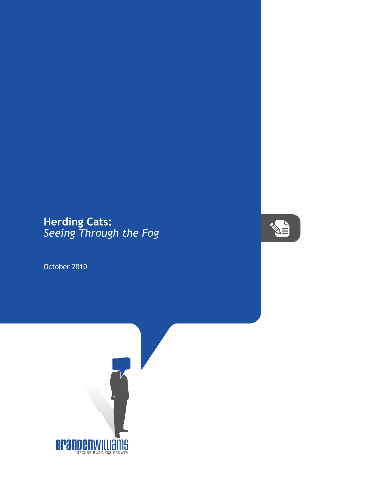## **Herding Cats:** *Seeing Through the Fog*

October 2010



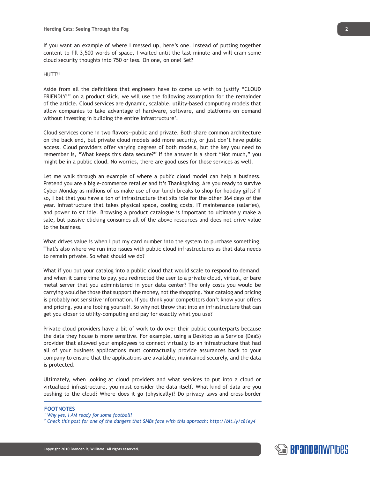If you want an example of where I messed up, here's one. Instead of putting together content to fill 3,500 words of space, I waited until the last minute and will cram some cloud security thoughts into 750 or less. On one, on one! Set?

## HUTT!<sup>1</sup>

Aside from all the definitions that engineers have to come up with to justify "CLOUD FRIENDLY!" on a product slick, we will use the following assumption for the remainder of the article. Cloud services are dynamic, scalable, utility-based computing models that allow companies to take advantage of hardware, software, and platforms on demand without investing in building the entire infrastructure<sup>2</sup>.

Cloud services come in two flavors--public and private. Both share common architecture on the back end, but private cloud models add more security, or just don't have public access. Cloud providers offer varying degrees of both models, but the key you need to remember is, "What keeps this data secure?" If the answer is a short "Not much," you might be in a public cloud. No worries, there are good uses for those services as well.

Let me walk through an example of where a public cloud model can help a business. Pretend you are a big e-commerce retailer and it's Thanksgiving. Are you ready to survive Cyber Monday as millions of us make use of our lunch breaks to shop for holiday gifts? If so, I bet that you have a ton of infrastructure that sits idle for the other 364 days of the year. Infrastructure that takes physical space, cooling costs, IT maintenance (salaries), and power to sit idle. Browsing a product catalogue is important to ultimately make a sale, but passive clicking consumes all of the above resources and does not drive value to the business.

What drives value is when I put my card number into the system to purchase something. That's also where we run into issues with public cloud infrastructures as that data needs to remain private. So what should we do?

What if you put your catalog into a public cloud that would scale to respond to demand, and when it came time to pay, you redirected the user to a private cloud, virtual, or bare metal server that you administered in your data center? The only costs you would be carrying would be those that support the money, not the shopping. Your catalog and pricing is probably not sensitive information. If you think your competitors don't know your offers and pricing, you are fooling yourself. So why not throw that into an infrastructure that can get you closer to utility-computing and pay for exactly what you use?

Private cloud providers have a bit of work to do over their public counterparts because the data they house is more sensitive. For example, using a Desktop as a Service (DaaS) provider that allowed your employees to connect virtually to an infrastructure that had all of your business applications must contractually provide assurances back to your company to ensure that the applications are available, maintained securely, and the data is protected.

Ultimately, when looking at cloud providers and what services to put into a cloud or virtualized infrastructure, you must consider the data itself. What kind of data are you pushing to the cloud? Where does it go (physically)? Do privacy laws and cross-border

## **FOOTNOTES**

- *1 Why yes, I AM ready for some football!*
- *2 Check this post for one of the dangers that SMBs face with this approach: http://bit.ly/c81ey4*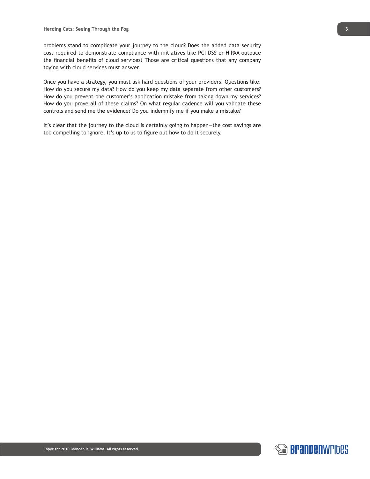problems stand to complicate your journey to the cloud? Does the added data security cost required to demonstrate compliance with initiatives like PCI DSS or HIPAA outpace the financial benefits of cloud services? Those are critical questions that any company toying with cloud services must answer.

Once you have a strategy, you must ask hard questions of your providers. Questions like: How do you secure my data? How do you keep my data separate from other customers? How do you prevent one customer's application mistake from taking down my services? How do you prove all of these claims? On what regular cadence will you validate these controls and send me the evidence? Do you indemnify me if you make a mistake?

It's clear that the journey to the cloud is certainly going to happen—the cost savings are too compelling to ignore. It's up to us to figure out how to do it securely.